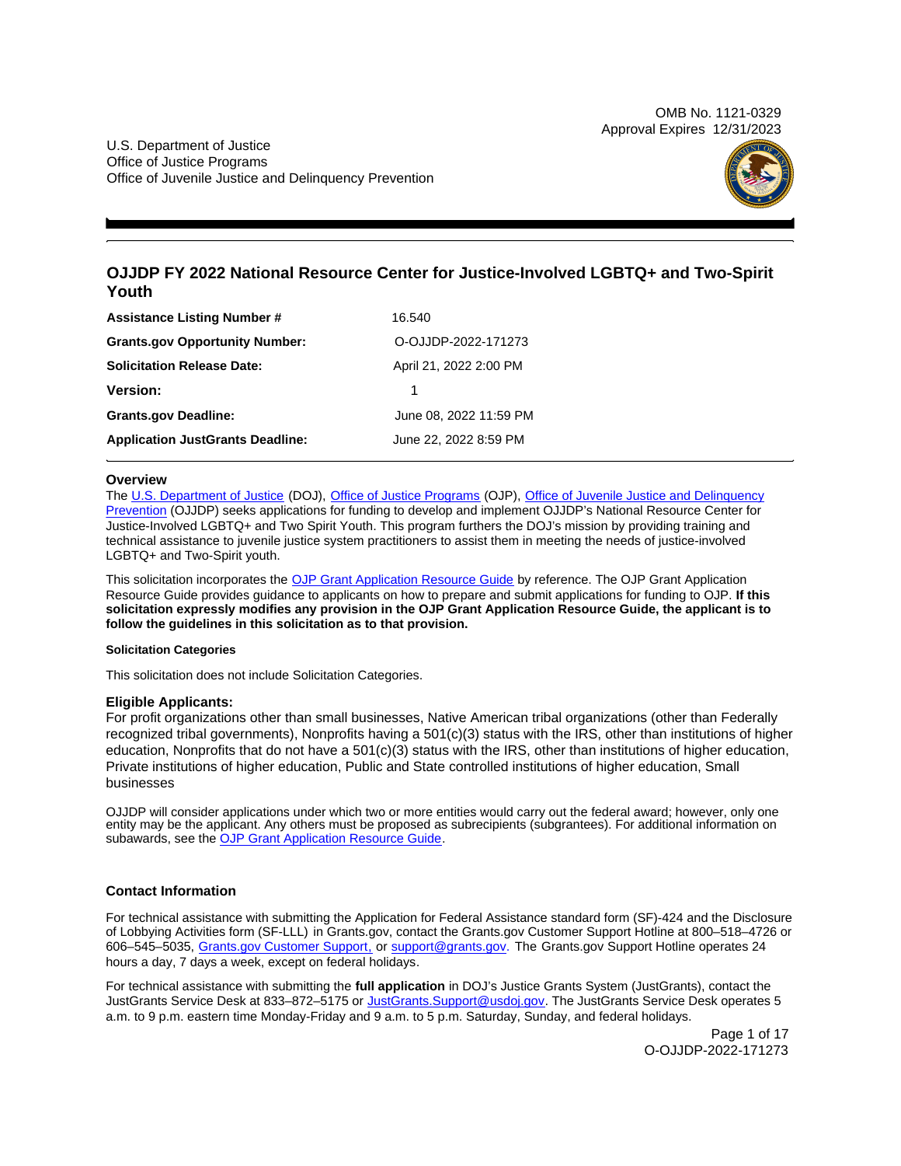OMB No. 1121-0329 Approval Expires 12/31/2023

<span id="page-0-0"></span>U.S. Department of Justice Office of Justice Programs Office of Juvenile Justice and Delinquency Prevention



## **OJJDP FY 2022 National Resource Center for Justice-Involved LGBTQ+ and Two-Spirit Youth**

| <b>Assistance Listing Number #</b>      | 16.540                 |
|-----------------------------------------|------------------------|
| <b>Grants.gov Opportunity Number:</b>   | O-OJJDP-2022-171273    |
| <b>Solicitation Release Date:</b>       | April 21, 2022 2:00 PM |
| <b>Version:</b>                         |                        |
| <b>Grants.gov Deadline:</b>             | June 08, 2022 11:59 PM |
| <b>Application JustGrants Deadline:</b> | June 22, 2022 8:59 PM  |

## **Overview**

The [U.S. Department of Justice](https://www.usdoj.gov/) (DOJ), [Office of Justice Programs](https://www.ojp.usdoj.gov/) (OJP), [Office of Juvenile Justice and Delinquency](https://ojjdp.ojp.gov/)  [Prevention](https://ojjdp.ojp.gov/) (OJJDP) seeks applications for funding to develop and implement OJJDP's National Resource Center for Justice-Involved LGBTQ+ and Two Spirit Youth. This program furthers the DOJ's mission by providing training and technical assistance to juvenile justice system practitioners to assist them in meeting the needs of justice-involved LGBTQ+ and Two-Spirit youth.

This solicitation incorporates the [OJP Grant Application Resource Guide](https://www.ojp.gov/funding/Apply/Resources/Grant-App-Resource-Guide.htm) by reference. The OJP Grant Application Resource Guide provides guidance to applicants on how to prepare and submit applications for funding to OJP. **If this solicitation expressly modifies any provision in the OJP Grant Application Resource Guide, the applicant is to follow the guidelines in this solicitation as to that provision.** 

## **Solicitation Categories**

This solicitation does not include Solicitation Categories.

## **Eligible Applicants:**

For profit organizations other than small businesses, Native American tribal organizations (other than Federally recognized tribal governments), Nonprofits having a 501(c)(3) status with the IRS, other than institutions of higher education, Nonprofits that do not have a 501(c)(3) status with the IRS, other than institutions of higher education, Private institutions of higher education, Public and State controlled institutions of higher education, Small businesses

OJJDP will consider applications under which two or more entities would carry out the federal award; however, only one entity may be the applicant. Any others must be proposed as subrecipients (subgrantees). For additional information on subawards, see the [OJP Grant Application Resource Guide.](https://www.ojp.gov/funding/Apply/Resources/Grant-App-Resource-Guide.htm)

## **Contact Information**

For technical assistance with submitting the Application for Federal Assistance standard form (SF)-424 and the Disclosure of Lobbying Activities form (SF-LLL) in [Grants.gov](https://Grants.gov), contact the [Grants.gov](https://Grants.gov) Customer Support Hotline at 800–518–4726 or 606–545–5035, [Grants.gov Customer Support,](https://www.grants.gov/web/grants/support.html) or [support@grants.gov.](mailto:support@grants.gov) The [Grants.gov](https://Grants.gov) Support Hotline operates 24 hours a day, 7 days a week, except on federal holidays.

For technical assistance with submitting the **full application** in DOJ's Justice Grants System (JustGrants), contact the JustGrants Service Desk at 833–872–5175 or [JustGrants.Support@usdoj.gov.](mailto:JustGrants.Support@usdoj.gov) The JustGrants Service Desk operates 5 a.m. to 9 p.m. eastern time Monday-Friday and 9 a.m. to 5 p.m. Saturday, Sunday, and federal holidays.

> Page 1 of 17 O-OJJDP-2022-171273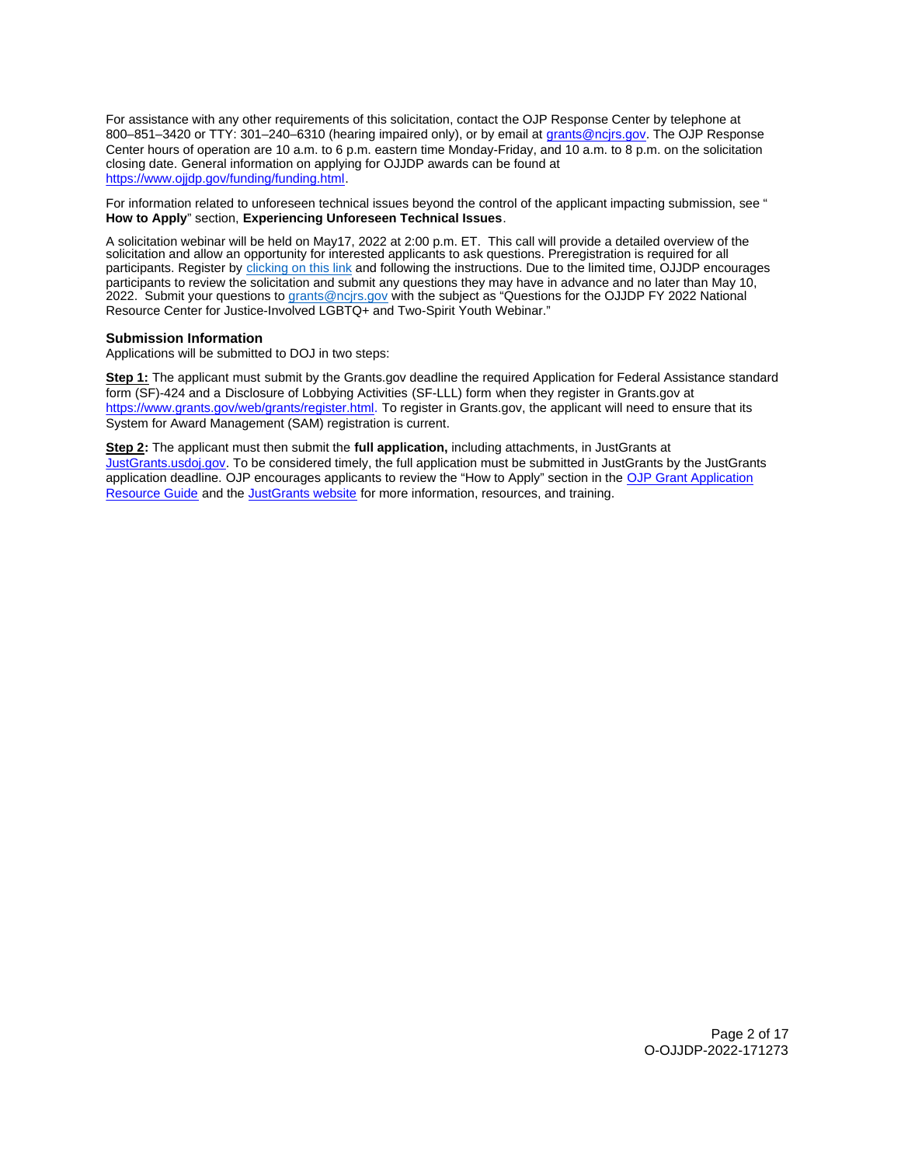For assistance with any other requirements of this solicitation, contact the OJP Response Center by telephone at 800-851-3420 or TTY: 301-240-6310 (hearing impaired only), or by email at [grants@ncjrs.gov.](mailto:grants@ncjrs.gov) The OJP Response Center hours of operation are 10 a.m. to 6 p.m. eastern time Monday-Friday, and 10 a.m. to 8 p.m. on the solicitation closing date. General information on applying for OJJDP awards can be found at [https://www.ojjdp.gov/funding/funding.html.](https://www.ojjdp.gov/funding/funding.html)

For information related to unforeseen technical issues beyond the control of the applicant impacting submission, see " **How to Apply**" section, **Experiencing Unforeseen Technical Issues**.

A solicitation webinar will be held on May17, 2022 at 2:00 p.m. ET. This call will provide a detailed overview of the solicitation and allow an opportunity for interested applicants to ask questions. Preregistration is required for all participants. Register by [clicking on this link](https://ojp.webex.com/ojp/onstage/g.php?MTID=e03415deef854028e68839c31a8299301) and following the instructions. Due to the limited time, OJJDP encourages participants to review the solicitation and submit any questions they may have in advance and no later than May 10, 2022. Submit your questions to [grants@ncjrs.gov](mailto:grants@ncjrs.gov) with the subject as "Questions for the OJJDP FY 2022 National Resource Center for Justice-Involved LGBTQ+ and Two-Spirit Youth Webinar."

## **Submission Information**

Applications will be submitted to DOJ in two steps:

**Step 1:** The applicant must submit by the [Grants.gov](https://Grants.gov) deadline the required Application for Federal Assistance standard form (SF)-424 and a Disclosure of Lobbying Activities (SF-LLL) form when they register in [Grants.gov](https://Grants.gov) at [https://www.grants.gov/web/grants/register.html.](https://www.grants.gov/web/grants/register.html) To register in [Grants.gov,](https://Grants.gov) the applicant will need to ensure that its System for Award Management (SAM) registration is current.

**Step 2:** The applicant must then submit the **full application,** including attachments, in JustGrants at [JustGrants.usdoj.gov.](https://justicegrants.usdoj.gov/) To be considered timely, the full application must be submitted in JustGrants by the JustGrants application deadline. OJP encourages applicants to review the "How to Apply" section in the [OJP Grant Application](https://www.ojp.gov/funding/apply/ojp-grant-application-resource-guide#apply)  [Resource Guide](https://www.ojp.gov/funding/apply/ojp-grant-application-resource-guide#apply) and the [JustGrants website](https://justicegrants.usdoj.gov/news) for more information, resources, and training.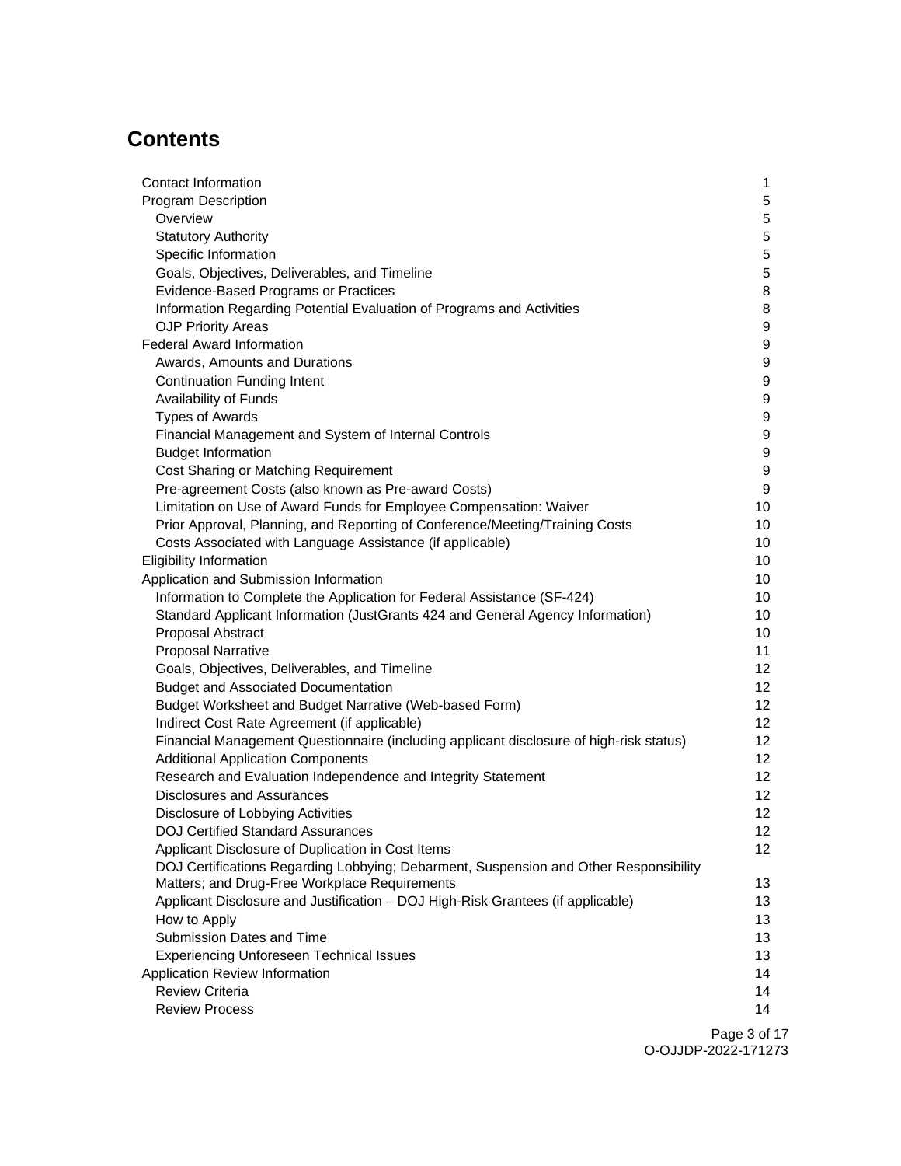# **Contents**

| Contact Information                                                                                                              | 1                |
|----------------------------------------------------------------------------------------------------------------------------------|------------------|
| <b>Program Description</b>                                                                                                       | 5                |
| Overview                                                                                                                         | 5                |
| <b>Statutory Authority</b>                                                                                                       | $\overline{5}$   |
| Specific Information                                                                                                             | 5                |
| Goals, Objectives, Deliverables, and Timeline                                                                                    | 5                |
| Evidence-Based Programs or Practices                                                                                             | 8                |
| Information Regarding Potential Evaluation of Programs and Activities                                                            | 8                |
| <b>OJP Priority Areas</b>                                                                                                        | 9                |
| <b>Federal Award Information</b>                                                                                                 | 9                |
| Awards, Amounts and Durations                                                                                                    | 9                |
| <b>Continuation Funding Intent</b>                                                                                               | 9                |
| Availability of Funds                                                                                                            | 9                |
| <b>Types of Awards</b>                                                                                                           | 9                |
| Financial Management and System of Internal Controls                                                                             | $\boldsymbol{9}$ |
| <b>Budget Information</b>                                                                                                        | $\boldsymbol{9}$ |
| Cost Sharing or Matching Requirement                                                                                             | 9                |
| Pre-agreement Costs (also known as Pre-award Costs)                                                                              | 9                |
| Limitation on Use of Award Funds for Employee Compensation: Waiver                                                               | 10               |
| Prior Approval, Planning, and Reporting of Conference/Meeting/Training Costs                                                     | 10               |
| Costs Associated with Language Assistance (if applicable)                                                                        | 10               |
| <b>Eligibility Information</b>                                                                                                   | 10               |
| Application and Submission Information                                                                                           | 10               |
| Information to Complete the Application for Federal Assistance (SF-424)                                                          | 10               |
| Standard Applicant Information (JustGrants 424 and General Agency Information)                                                   | 10               |
| Proposal Abstract                                                                                                                | 10               |
| <b>Proposal Narrative</b>                                                                                                        | 11               |
| Goals, Objectives, Deliverables, and Timeline                                                                                    | 12               |
| <b>Budget and Associated Documentation</b>                                                                                       | 12 <sup>°</sup>  |
| Budget Worksheet and Budget Narrative (Web-based Form)                                                                           | 12 <sup>°</sup>  |
| Indirect Cost Rate Agreement (if applicable)                                                                                     | 12 <sup>°</sup>  |
| Financial Management Questionnaire (including applicant disclosure of high-risk status)                                          | 12 <sup>°</sup>  |
| <b>Additional Application Components</b>                                                                                         | 12 <sup>°</sup>  |
| Research and Evaluation Independence and Integrity Statement                                                                     | 12               |
| <b>Disclosures and Assurances</b>                                                                                                | 12 <sup>°</sup>  |
| Disclosure of Lobbying Activities                                                                                                | 12 <sub>2</sub>  |
| <b>DOJ Certified Standard Assurances</b>                                                                                         | 12 <sup>2</sup>  |
| Applicant Disclosure of Duplication in Cost Items                                                                                | 12               |
| DOJ Certifications Regarding Lobbying; Debarment, Suspension and Other Responsibility                                            |                  |
| Matters; and Drug-Free Workplace Requirements<br>Applicant Disclosure and Justification - DOJ High-Risk Grantees (if applicable) | 13<br>13         |
|                                                                                                                                  | 13               |
| How to Apply<br>Submission Dates and Time                                                                                        | 13               |
|                                                                                                                                  |                  |
| <b>Experiencing Unforeseen Technical Issues</b><br>Application Review Information                                                | 13<br>14         |
| <b>Review Criteria</b>                                                                                                           | 14               |
| <b>Review Process</b>                                                                                                            | 14               |
|                                                                                                                                  |                  |

Page 3 of 17 O-OJJDP-2022-171273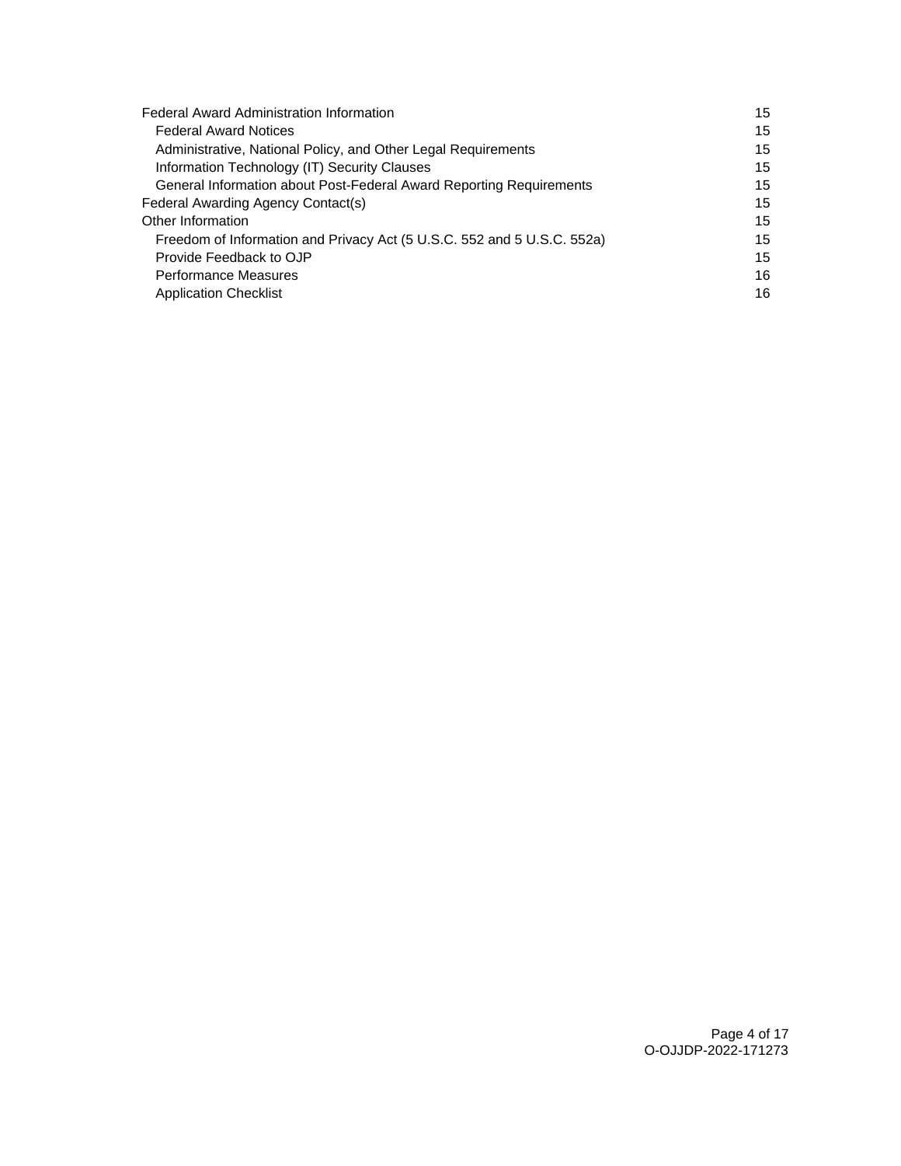| <b>Federal Award Administration Information</b>                         |    |
|-------------------------------------------------------------------------|----|
| <b>Federal Award Notices</b>                                            | 15 |
| Administrative, National Policy, and Other Legal Requirements           | 15 |
| Information Technology (IT) Security Clauses                            | 15 |
| General Information about Post-Federal Award Reporting Requirements     | 15 |
| Federal Awarding Agency Contact(s)                                      | 15 |
| Other Information                                                       | 15 |
| Freedom of Information and Privacy Act (5 U.S.C. 552 and 5 U.S.C. 552a) | 15 |
| Provide Feedback to OJP                                                 | 15 |
| <b>Performance Measures</b>                                             | 16 |
| <b>Application Checklist</b>                                            | 16 |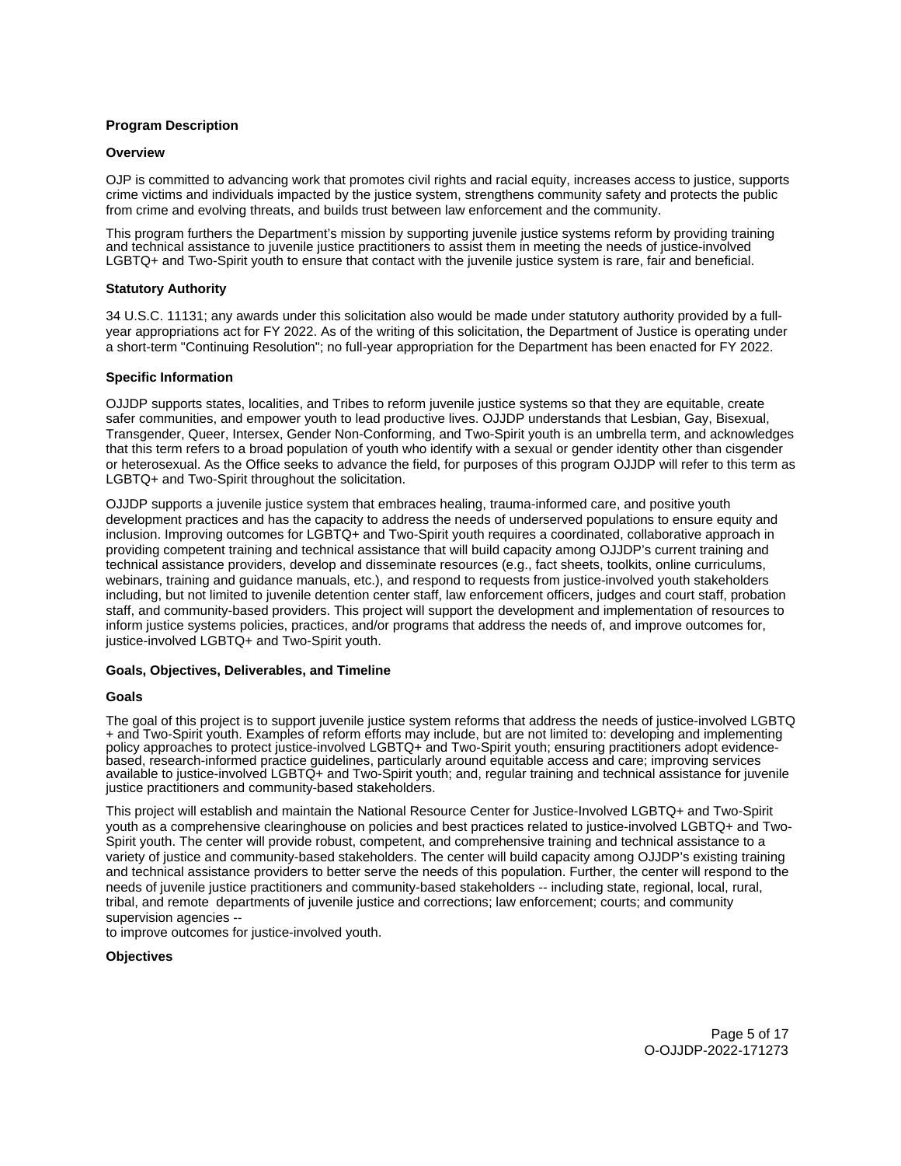## <span id="page-4-0"></span>**Program Description**

## **Overview**

OJP is committed to advancing work that promotes civil rights and racial equity, increases access to justice, supports crime victims and individuals impacted by the justice system, strengthens community safety and protects the public from crime and evolving threats, and builds trust between law enforcement and the community.

This program furthers the Department's mission by supporting juvenile justice systems reform by providing training and technical assistance to juvenile justice practitioners to assist them in meeting the needs of justice-involved LGBTQ+ and Two-Spirit youth to ensure that contact with the juvenile justice system is rare, fair and beneficial.

## **Statutory Authority**

34 U.S.C. 11131; any awards under this solicitation also would be made under statutory authority provided by a fullyear appropriations act for FY 2022. As of the writing of this solicitation, the Department of Justice is operating under a short-term "Continuing Resolution"; no full-year appropriation for the Department has been enacted for FY 2022.

## **Specific Information**

OJJDP supports states, localities, and Tribes to reform juvenile justice systems so that they are equitable, create safer communities, and empower youth to lead productive lives. OJJDP understands that Lesbian, Gay, Bisexual, Transgender, Queer, Intersex, Gender Non-Conforming, and Two-Spirit youth is an umbrella term, and acknowledges that this term refers to a broad population of youth who identify with a sexual or gender identity other than cisgender or heterosexual. As the Office seeks to advance the field, for purposes of this program OJJDP will refer to this term as LGBTQ+ and Two-Spirit throughout the solicitation.

OJJDP supports a juvenile justice system that embraces healing, trauma-informed care, and positive youth development practices and has the capacity to address the needs of underserved populations to ensure equity and inclusion. Improving outcomes for LGBTQ+ and Two-Spirit youth requires a coordinated, collaborative approach in providing competent training and technical assistance that will build capacity among OJJDP's current training and technical assistance providers, develop and disseminate resources (e.g., fact sheets, toolkits, online curriculums, webinars, training and guidance manuals, etc.), and respond to requests from justice-involved youth stakeholders including, but not limited to juvenile detention center staff, law enforcement officers, judges and court staff, probation staff, and community-based providers. This project will support the development and implementation of resources to inform justice systems policies, practices, and/or programs that address the needs of, and improve outcomes for, justice-involved LGBTQ+ and Two-Spirit youth.

## **Goals, Objectives, Deliverables, and Timeline**

## **Goals**

The goal of this project is to support juvenile justice system reforms that address the needs of justice-involved LGBTQ + and Two-Spirit youth. Examples of reform efforts may include, but are not limited to: developing and implementing policy approaches to protect justice-involved LGBTQ+ and Two-Spirit youth; ensuring practitioners adopt evidencebased, research-informed practice guidelines, particularly around equitable access and care; improving services available to justice-involved LGBTQ+ and Two-Spirit youth; and, regular training and technical assistance for juvenile justice practitioners and community-based stakeholders.

This project will establish and maintain the National Resource Center for Justice-Involved LGBTQ+ and Two-Spirit youth as a comprehensive clearinghouse on policies and best practices related to justice-involved LGBTQ+ and Two-Spirit youth. The center will provide robust, competent, and comprehensive training and technical assistance to a variety of justice and community-based stakeholders. The center will build capacity among OJJDP's existing training and technical assistance providers to better serve the needs of this population. Further, the center will respond to the needs of juvenile justice practitioners and community-based stakeholders -- including state, regional, local, rural, tribal, and remote departments of juvenile justice and corrections; law enforcement; courts; and community supervision agencies --

to improve outcomes for justice-involved youth.

## **Objectives**

Page 5 of 17 O-OJJDP-2022-171273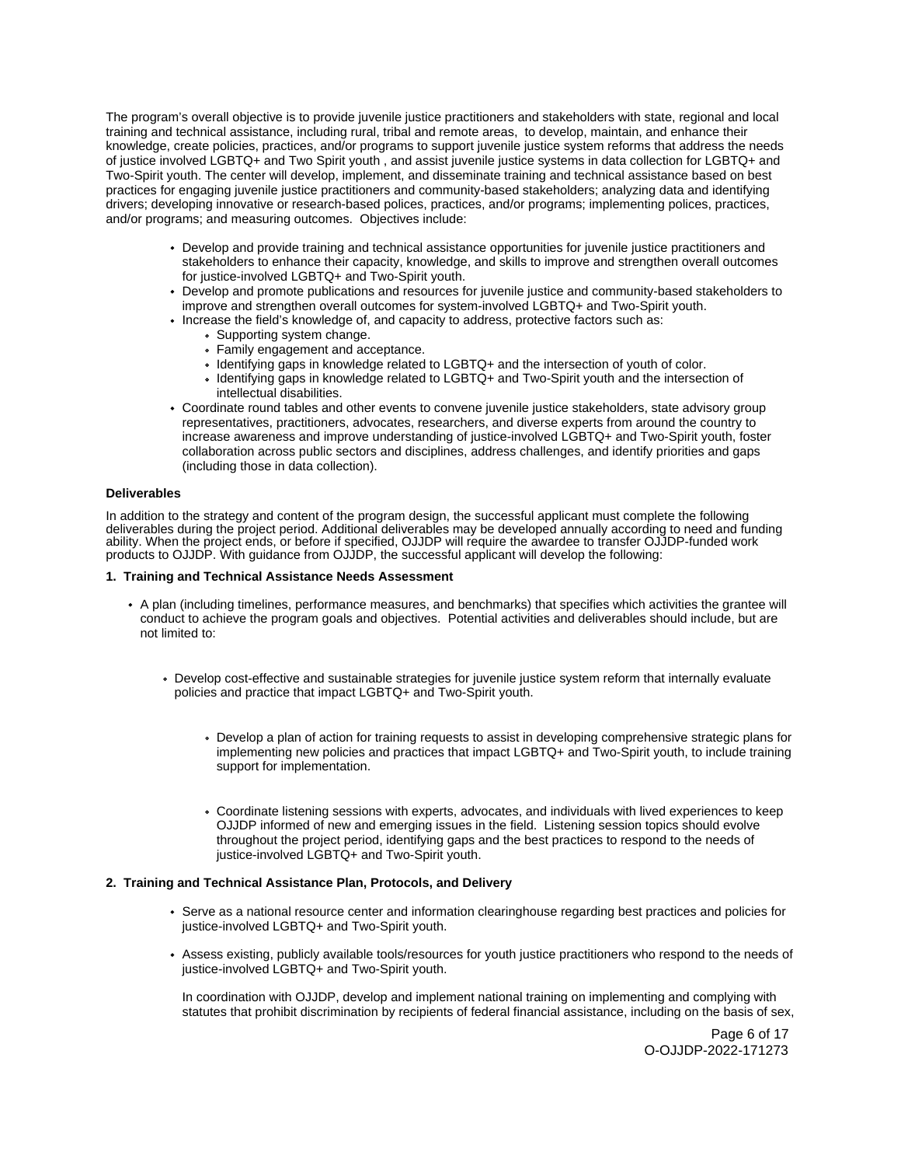The program's overall objective is to provide juvenile justice practitioners and stakeholders with state, regional and local training and technical assistance, including rural, tribal and remote areas, to develop, maintain, and enhance their knowledge, create policies, practices, and/or programs to support juvenile justice system reforms that address the needs of justice involved LGBTQ+ and Two Spirit youth , and assist juvenile justice systems in data collection for LGBTQ+ and Two-Spirit youth. The center will develop, implement, and disseminate training and technical assistance based on best practices for engaging juvenile justice practitioners and community-based stakeholders; analyzing data and identifying drivers; developing innovative or research-based polices, practices, and/or programs; implementing polices, practices, and/or programs; and measuring outcomes. Objectives include:

- Develop and provide training and technical assistance opportunities for juvenile justice practitioners and stakeholders to enhance their capacity, knowledge, and skills to improve and strengthen overall outcomes for justice-involved LGBTQ+ and Two-Spirit youth.
- Develop and promote publications and resources for juvenile justice and community-based stakeholders to improve and strengthen overall outcomes for system-involved LGBTQ+ and Two-Spirit youth.
- Increase the field's knowledge of, and capacity to address, protective factors such as:
	- Supporting system change.
	- Family engagement and acceptance.
	- Identifying gaps in knowledge related to LGBTQ+ and the intersection of youth of color.
	- Identifying gaps in knowledge related to LGBTQ+ and Two-Spirit youth and the intersection of intellectual disabilities.
- Coordinate round tables and other events to convene juvenile justice stakeholders, state advisory group representatives, practitioners, advocates, researchers, and diverse experts from around the country to increase awareness and improve understanding of justice-involved LGBTQ+ and Two-Spirit youth, foster collaboration across public sectors and disciplines, address challenges, and identify priorities and gaps (including those in data collection).

## **Deliverables**

In addition to the strategy and content of the program design, the successful applicant must complete the following deliverables during the project period. Additional deliverables may be developed annually according to need and funding ability. When the project ends, or before if specified, OJJDP will require the awardee to transfer OJJDP-funded work products to OJJDP. With guidance from OJJDP, the successful applicant will develop the following:

#### **1. Training and Technical Assistance Needs Assessment**

- A plan (including timelines, performance measures, and benchmarks) that specifies which activities the grantee will conduct to achieve the program goals and objectives. Potential activities and deliverables should include, but are not limited to:
	- Develop cost-effective and sustainable strategies for juvenile justice system reform that internally evaluate policies and practice that impact LGBTQ+ and Two-Spirit youth.
		- Develop a plan of action for training requests to assist in developing comprehensive strategic plans for implementing new policies and practices that impact LGBTQ+ and Two-Spirit youth, to include training support for implementation.
		- Coordinate listening sessions with experts, advocates, and individuals with lived experiences to keep OJJDP informed of new and emerging issues in the field. Listening session topics should evolve throughout the project period, identifying gaps and the best practices to respond to the needs of justice-involved LGBTQ+ and Two-Spirit youth.

## **2. Training and Technical Assistance Plan, Protocols, and Delivery**

- Serve as a national resource center and information clearinghouse regarding best practices and policies for justice-involved LGBTQ+ and Two-Spirit youth.
- Assess existing, publicly available tools/resources for youth justice practitioners who respond to the needs of justice-involved LGBTQ+ and Two-Spirit youth.

In coordination with OJJDP, develop and implement national training on implementing and complying with statutes that prohibit discrimination by recipients of federal financial assistance, including on the basis of sex,

> Page 6 of 17 O-OJJDP-2022-171273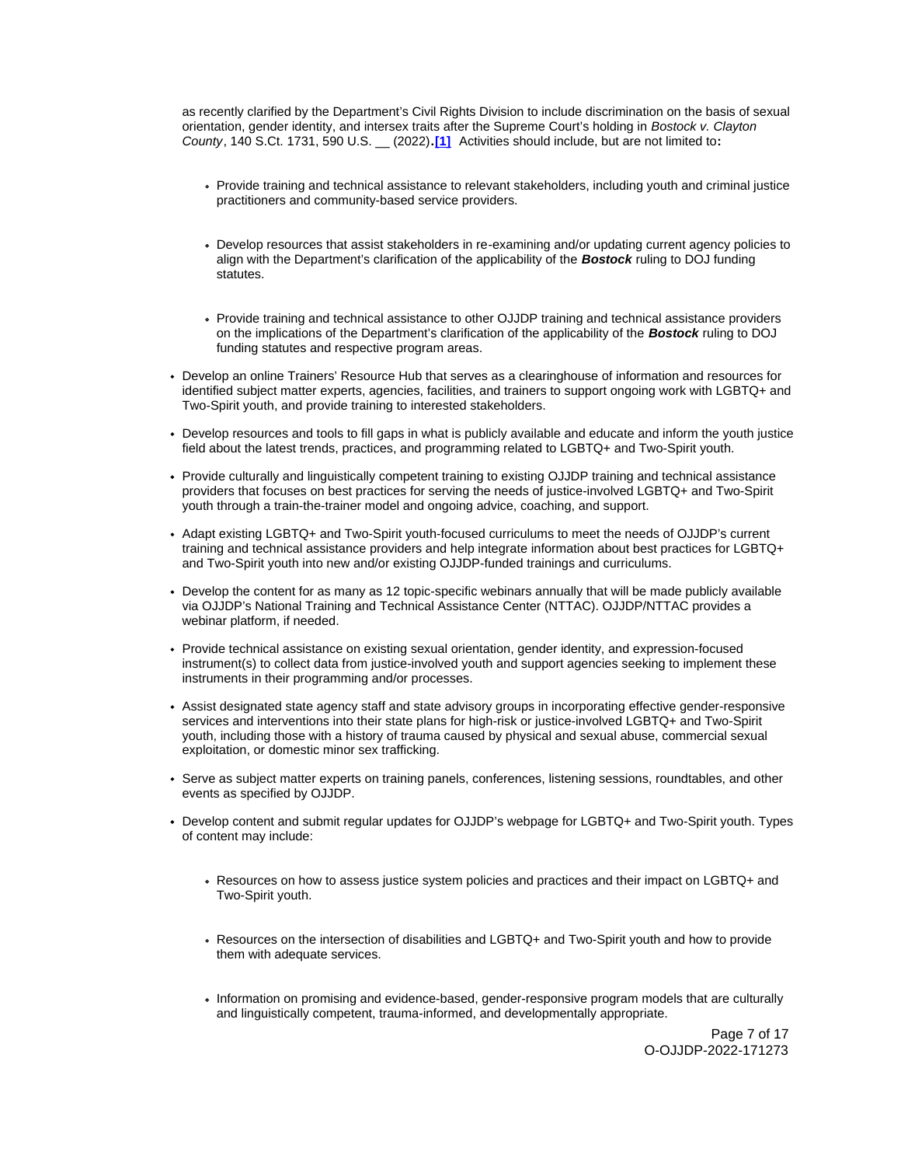County, 140 S.Ct. 1731, 590 U.S. \_\_ (2022)**.[\[1\]](#_ftn1)** Activities should include, but are not limited to**:**  as recently clarified by the Department's Civil Rights Division to include discrimination on the basis of sexual orientation, gender identity, and intersex traits after the Supreme Court's holding in Bostock v. Clayton

- Provide training and technical assistance to relevant stakeholders, including youth and criminal justice practitioners and community-based service providers.
- Develop resources that assist stakeholders in re-examining and/or updating current agency policies to align with the Department's clarification of the applicability of the **Bostock** ruling to DOJ funding statutes.
- Provide training and technical assistance to other OJJDP training and technical assistance providers on the implications of the Department's clarification of the applicability of the **Bostock** ruling to DOJ funding statutes and respective program areas.
- Develop an online Trainers' Resource Hub that serves as a clearinghouse of information and resources for identified subject matter experts, agencies, facilities, and trainers to support ongoing work with LGBTQ+ and Two-Spirit youth, and provide training to interested stakeholders.
- Develop resources and tools to fill gaps in what is publicly available and educate and inform the youth justice field about the latest trends, practices, and programming related to LGBTQ+ and Two-Spirit youth.
- Provide culturally and linguistically competent training to existing OJJDP training and technical assistance providers that focuses on best practices for serving the needs of justice-involved LGBTQ+ and Two-Spirit youth through a train-the-trainer model and ongoing advice, coaching, and support.
- Adapt existing LGBTQ+ and Two-Spirit youth-focused curriculums to meet the needs of OJJDP's current training and technical assistance providers and help integrate information about best practices for LGBTQ+ and Two-Spirit youth into new and/or existing OJJDP-funded trainings and curriculums.
- Develop the content for as many as 12 topic-specific webinars annually that will be made publicly available via OJJDP's National Training and Technical Assistance Center (NTTAC). OJJDP/NTTAC provides a webinar platform, if needed.
- Provide technical assistance on existing sexual orientation, gender identity, and expression-focused instrument(s) to collect data from justice-involved youth and support agencies seeking to implement these instruments in their programming and/or processes.
- Assist designated state agency staff and state advisory groups in incorporating effective gender-responsive services and interventions into their state plans for high-risk or justice-involved LGBTQ+ and Two-Spirit youth, including those with a history of trauma caused by physical and sexual abuse, commercial sexual exploitation, or domestic minor sex trafficking.
- Serve as subject matter experts on training panels, conferences, listening sessions, roundtables, and other events as specified by OJJDP.
- Develop content and submit regular updates for OJJDP's webpage for LGBTQ+ and Two-Spirit youth. Types of content may include:
	- Resources on how to assess justice system policies and practices and their impact on LGBTQ+ and Two-Spirit youth.
	- Resources on the intersection of disabilities and LGBTQ+ and Two-Spirit youth and how to provide them with adequate services.
	- Information on promising and evidence-based, gender-responsive program models that are culturally and linguistically competent, trauma-informed, and developmentally appropriate.

Page 7 of 17 O-OJJDP-2022-171273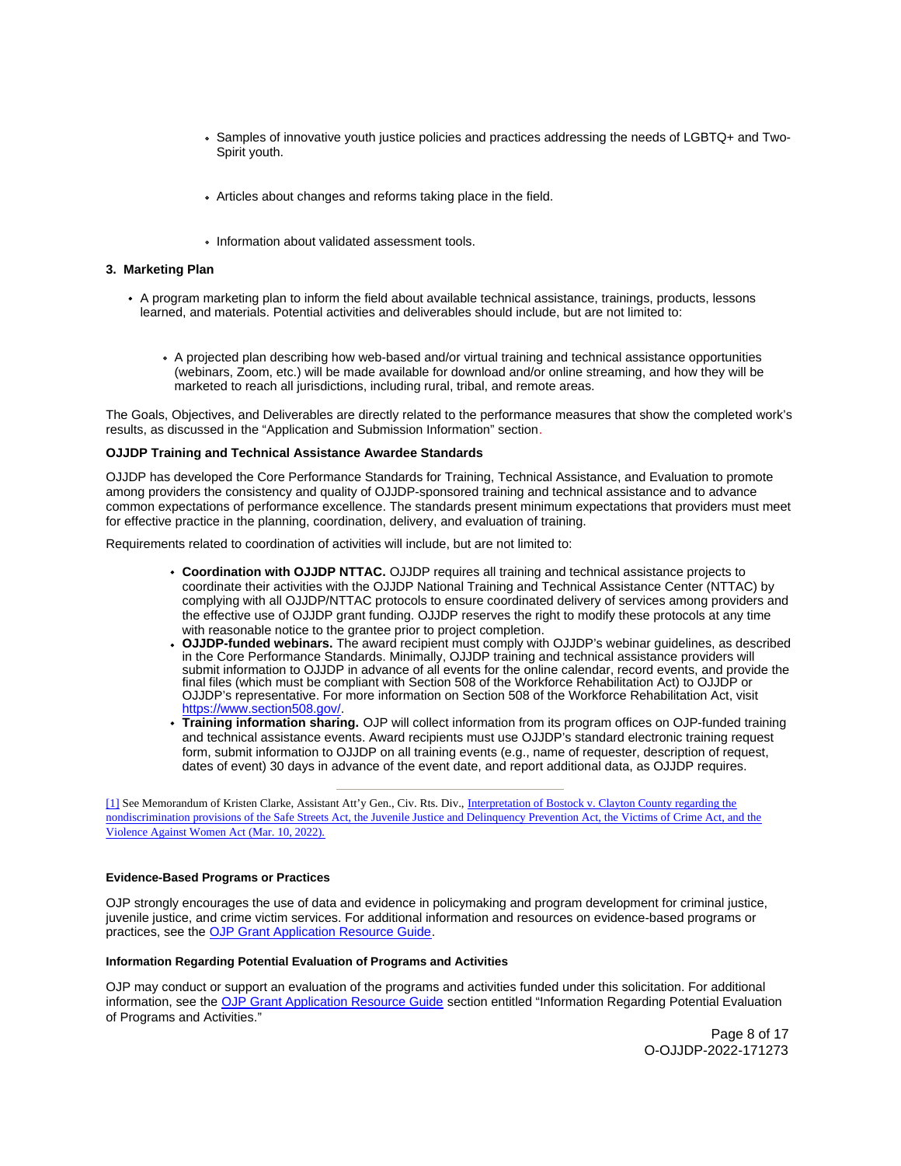- <span id="page-7-0"></span>Samples of innovative youth justice policies and practices addressing the needs of LGBTQ+ and Two-Spirit youth.
- Articles about changes and reforms taking place in the field.
- Information about validated assessment tools.

## **3. Marketing Plan**

- A program marketing plan to inform the field about available technical assistance, trainings, products, lessons learned, and materials. Potential activities and deliverables should include, but are not limited to:
	- A projected plan describing how web-based and/or virtual training and technical assistance opportunities (webinars, Zoom, etc.) will be made available for download and/or online streaming, and how they will be marketed to reach all jurisdictions, including rural, tribal, and remote areas.

The Goals, Objectives, and Deliverables are directly related to the performance measures that show the completed work's results, as discussed in the "Application and Submission Information" section.

#### **OJJDP Training and Technical Assistance Awardee Standards**

OJJDP has developed the Core Performance Standards for Training, Technical Assistance, and Evaluation to promote among providers the consistency and quality of OJJDP-sponsored training and technical assistance and to advance common expectations of performance excellence. The standards present minimum expectations that providers must meet for effective practice in the planning, coordination, delivery, and evaluation of training.

Requirements related to coordination of activities will include, but are not limited to:

- **Coordination with OJJDP NTTAC.** OJJDP requires all training and technical assistance projects to coordinate their activities with the OJJDP National Training and Technical Assistance Center (NTTAC) by complying with all OJJDP/NTTAC protocols to ensure coordinated delivery of services among providers and the effective use of OJJDP grant funding. OJJDP reserves the right to modify these protocols at any time with reasonable notice to the grantee prior to project completion.
- **OJJDP-funded webinars.** The award recipient must comply with OJJDP's webinar guidelines, as described in the Core Performance Standards. Minimally, OJJDP training and technical assistance providers will submit information to OJJDP in advance of all events for the online calendar, record events, and provide the final files (which must be compliant with Section 508 of the Workforce Rehabilitation Act) to OJJDP or OJJDP's representative. For more information on Section 508 of the Workforce Rehabilitation Act, visit [https://www.section508.gov/.](https://www.section508.gov/)
- **Training information sharing.** OJP will collect information from its program offices on OJP-funded training and technical assistance events. Award recipients must use OJJDP's standard electronic training request form, submit information to OJJDP on all training events (e.g., name of requester, description of request, dates of event) 30 days in advance of the event date, and report additional data, as OJJDP requires.

[\[1\]](#_ftnref1) See Memorandum of Kristen Clarke, Assistant Att'y Gen., Civ. Rts. Div., Interpretation of Bostock v. Clayton County regarding the [nondiscrimination provisions of the Safe Streets Act, the Juvenile Justice and Delinquency Prevention Act, the Victims of Crime Act, and the](https://www.justice.gov/crt/page/file/1481776/download)  [Violence Against Women Act \(Mar. 10, 2022\).](https://www.justice.gov/crt/page/file/1481776/download) 

#### **Evidence-Based Programs or Practices**

OJP strongly encourages the use of data and evidence in policymaking and program development for criminal justice, juvenile justice, and crime victim services. For additional information and resources on evidence-based programs or practices, see the [OJP Grant Application Resource Guide.](https://www.ojp.gov/funding/apply/ojp-grant-application-resource-guide#evidence-based)

#### **Information Regarding Potential Evaluation of Programs and Activities**

OJP may conduct or support an evaluation of the programs and activities funded under this solicitation. For additional information, see the [OJP Grant Application Resource Guide](https://www.ojp.gov/funding/Apply/Resources/Grant-App-Resource-Guide.htm) section entitled "Information Regarding Potential Evaluation of Programs and Activities."

> Page 8 of 17 O-OJJDP-2022-171273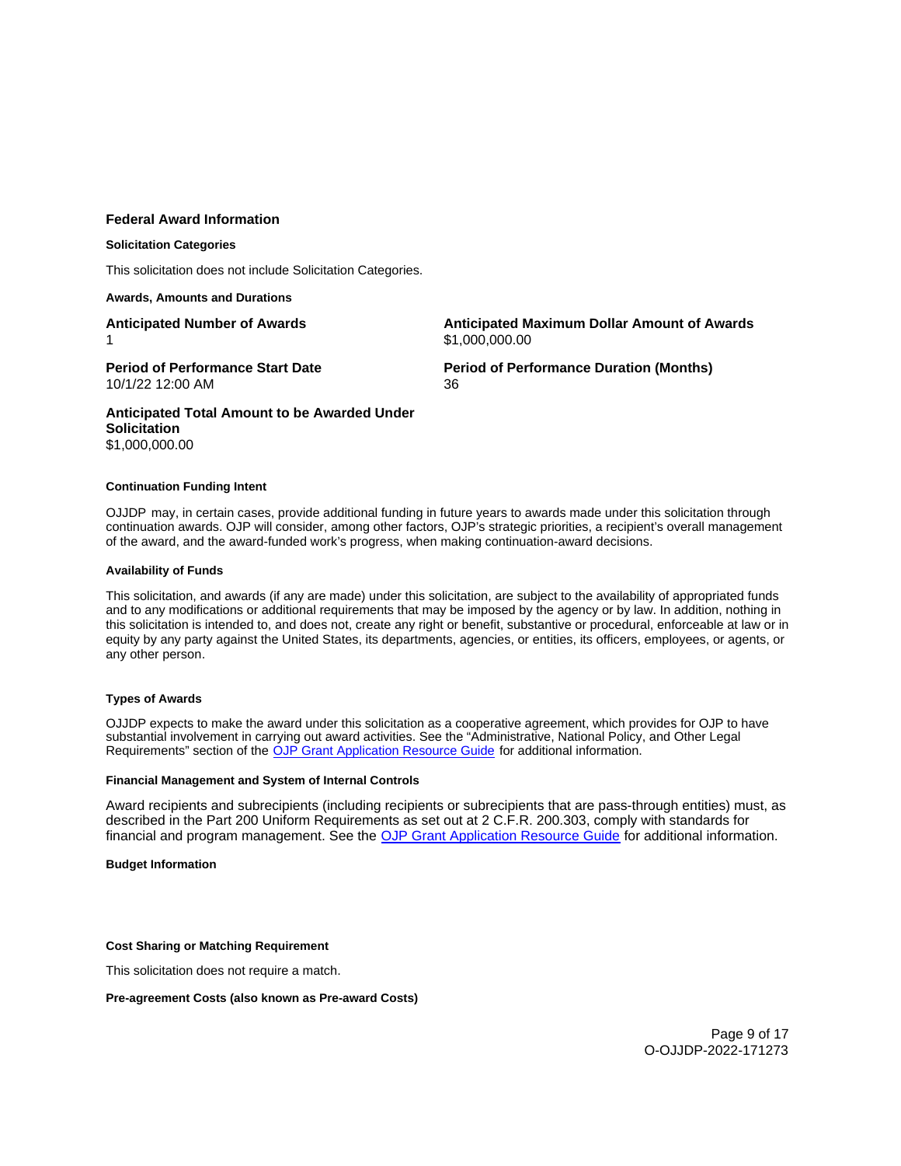## <span id="page-8-0"></span>**Federal Award Information**

## **Solicitation Categories**

This solicitation does not include Solicitation Categories.

### **Awards, Amounts and Durations**

**Anticipated Number of Awards**  1

**Anticipated Maximum Dollar Amount of Awards**  \$[1,000,000.00](https://1,000,000.00)

**Period of Performance Start Date**  10/1/22 12:00 AM

**Period of Performance Duration (Months)**  36

**Anticipated Total Amount to be Awarded Under Solicitation**  [\\$1,000,000.00](https://1,000,000.00) 

#### **Continuation Funding Intent**

OJJDP may, in certain cases, provide additional funding in future years to awards made under this solicitation through continuation awards. OJP will consider, among other factors, OJP's strategic priorities, a recipient's overall management of the award, and the award-funded work's progress, when making continuation-award decisions.

#### **Availability of Funds**

This solicitation, and awards (if any are made) under this solicitation, are subject to the availability of appropriated funds and to any modifications or additional requirements that may be imposed by the agency or by law. In addition, nothing in this solicitation is intended to, and does not, create any right or benefit, substantive or procedural, enforceable at law or in equity by any party against the United States, its departments, agencies, or entities, its officers, employees, or agents, or any other person.

## **Types of Awards**

OJJDP expects to make the award under this solicitation as a cooperative agreement, which provides for OJP to have substantial involvement in carrying out award activities. See the "Administrative, National Policy, and Other Legal Requirements" section of the [OJP Grant Application Resource Guide](https://ojp.gov/funding/Apply/Resources/Grant-App-Resource-Guide.htm) for additional information.

#### **Financial Management and System of Internal Controls**

Award recipients and subrecipients (including recipients or subrecipients that are pass-through entities) must, as described in the Part 200 Uniform Requirements as set out at 2 C.F.R. 200.303, comply with standards for financial and program management. See the [OJP Grant Application Resource Guide](https://www.ojp.gov/funding/apply/ojp-grant-application-resource-guide#fm-internal-controls) for additional information.

## **Budget Information**

#### **Cost Sharing or Matching Requirement**

This solicitation does not require a match.

## **Pre-agreement Costs (also known as Pre-award Costs)**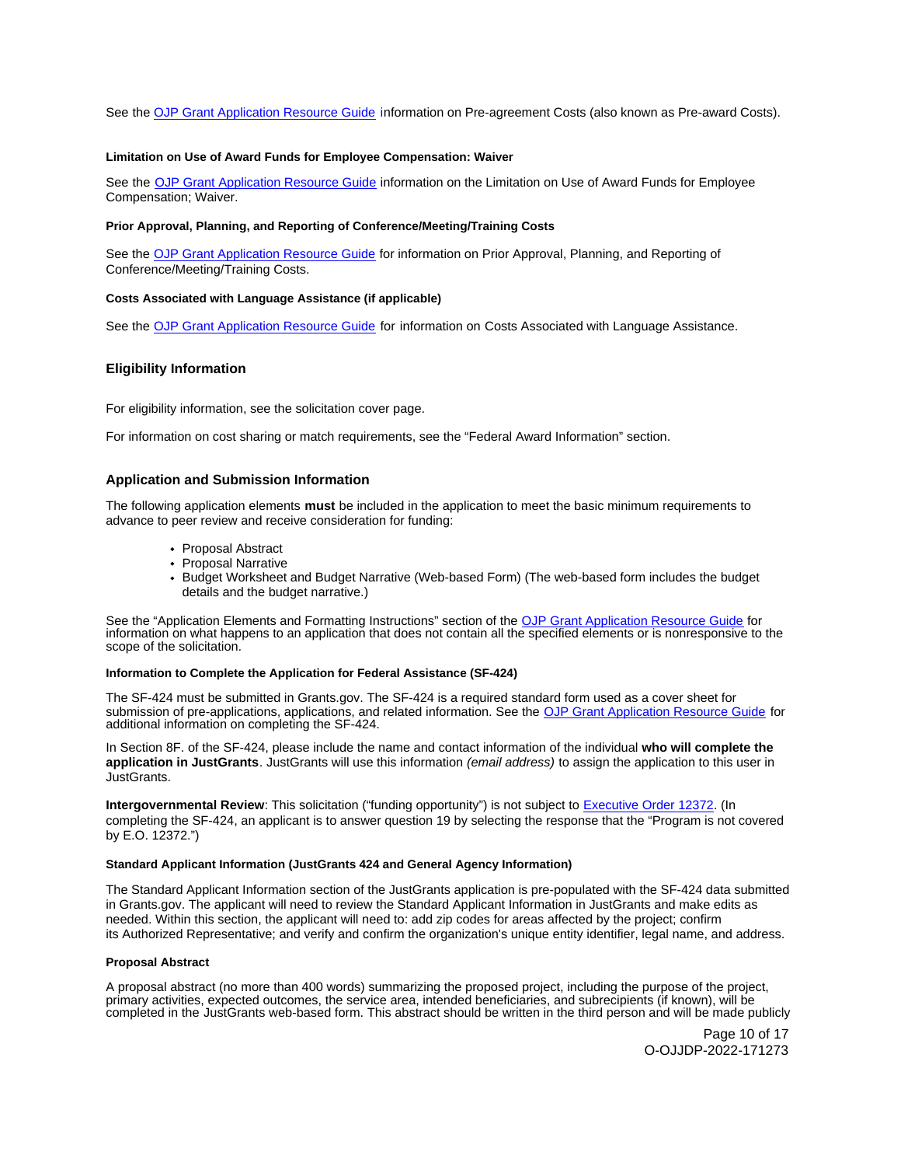<span id="page-9-0"></span>See the [OJP Grant Application Resource Guide](https://www.ojp.gov/funding/apply/ojp-grant-application-resource-guide#pre-agreement-costs) information on Pre-agreement Costs (also known as Pre-award Costs).

#### **Limitation on Use of Award Funds for Employee Compensation: Waiver**

See the [OJP Grant Application Resource Guide](https://www.ojp.gov/funding/apply/ojp-grant-application-resource-guide#limitation-use-award) information on the Limitation on Use of Award Funds for Employee Compensation; Waiver.

#### **Prior Approval, Planning, and Reporting of Conference/Meeting/Training Costs**

See the [OJP Grant Application Resource Guide](https://www.ojp.gov/funding/apply/ojp-grant-application-resource-guide#prior-approval) for information on Prior Approval, Planning, and Reporting of Conference/Meeting/Training Costs.

#### **Costs Associated with Language Assistance (if applicable)**

See the [OJP Grant Application Resource Guide](https://www.ojp.gov/funding/apply/ojp-grant-application-resource-guide#costs-associated) for information on Costs Associated with Language Assistance.

## **Eligibility Information**

For eligibility information, see the solicitation cover page.

For information on cost sharing or match requirements, see the "Federal Award Information" section.

#### **Application and Submission Information**

The following application elements **must** be included in the application to meet the basic minimum requirements to advance to peer review and receive consideration for funding:

- Proposal Abstract
- Proposal Narrative
- Budget Worksheet and Budget Narrative (Web-based Form) (The web-based form includes the budget details and the budget narrative.)

See the "Application Elements and Formatting Instructions" section of the [OJP Grant Application Resource Guide](https://www.ojp.gov/funding/apply/ojp-grant-application-resource-guide#application-elements) for information on what happens to an application that does not contain all the specified elements or is nonresponsive to the scope of the solicitation.

#### **Information to Complete the Application for Federal Assistance (SF-424)**

The SF-424 must be submitted in [Grants.gov.](https://Grants.gov) The SF-424 is a required standard form used as a cover sheet for submission of pre-applications, applications, and related information. See the [OJP Grant Application Resource Guide](https://www.ojp.gov/funding/apply/ojp-grant-application-resource-guide#complete-application) for additional information on completing the SF-424.

In Section 8F. of the SF-424, please include the name and contact information of the individual **who will complete the application in JustGrants**. JustGrants will use this information (email address) to assign the application to this user in JustGrants.

**Intergovernmental Review**: This solicitation ("funding opportunity") is not subject to [Executive Order 12372.](https://www.archives.gov/federal-register/codification/executive-order/12372.html) (In completing the SF-424, an applicant is to answer question 19 by selecting the response that the "Program is not covered by E.O. 12372.")

## **Standard Applicant Information (JustGrants 424 and General Agency Information)**

The Standard Applicant Information section of the JustGrants application is pre-populated with the SF-424 data submitted in [Grants.gov](https://Grants.gov). The applicant will need to review the Standard Applicant Information in JustGrants and make edits as needed. Within this section, the applicant will need to: add zip codes for areas affected by the project; confirm its Authorized Representative; and verify and confirm the organization's unique entity identifier, legal name, and address.

#### **Proposal Abstract**

A proposal abstract (no more than 400 words) summarizing the proposed project, including the purpose of the project, primary activities, expected outcomes, the service area, intended beneficiaries, and subrecipients (if known), will be completed in the JustGrants web-based form. This abstract should be written in the third person and will be made publicly

> Page 10 of 17 O-OJJDP-2022-171273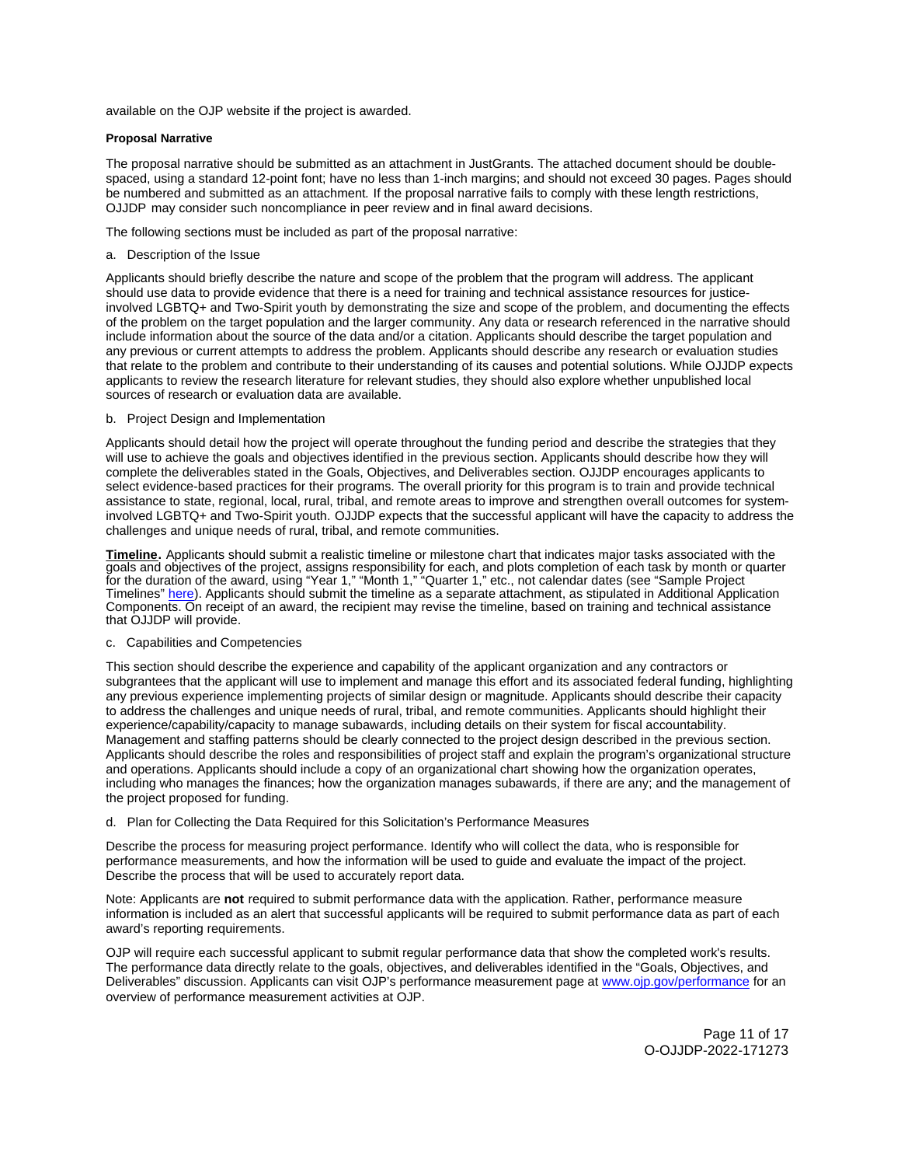<span id="page-10-0"></span>available on the OJP website if the project is awarded.

## **Proposal Narrative**

The proposal narrative should be submitted as an attachment in JustGrants. The attached document should be doublespaced, using a standard 12-point font; have no less than 1-inch margins; and should not exceed 30 pages. Pages should be numbered and submitted as an attachment. If the proposal narrative fails to comply with these length restrictions, OJJDP may consider such noncompliance in peer review and in final award decisions.

The following sections must be included as part of the proposal narrative:

#### a. Description of the Issue

Applicants should briefly describe the nature and scope of the problem that the program will address. The applicant should use data to provide evidence that there is a need for training and technical assistance resources for justiceinvolved LGBTQ+ and Two-Spirit youth by demonstrating the size and scope of the problem, and documenting the effects of the problem on the target population and the larger community. Any data or research referenced in the narrative should include information about the source of the data and/or a citation. Applicants should describe the target population and any previous or current attempts to address the problem. Applicants should describe any research or evaluation studies that relate to the problem and contribute to their understanding of its causes and potential solutions. While OJJDP expects applicants to review the research literature for relevant studies, they should also explore whether unpublished local sources of research or evaluation data are available.

b. Project Design and Implementation

Applicants should detail how the project will operate throughout the funding period and describe the strategies that they will use to achieve the goals and objectives identified in the previous section. Applicants should describe how they will complete the deliverables stated in the Goals, Objectives, and Deliverables section. OJJDP encourages applicants to select evidence-based practices for their programs. The overall priority for this program is to train and provide technical assistance to state, regional, local, rural, tribal, and remote areas to improve and strengthen overall outcomes for systeminvolved LGBTQ+ and Two-Spirit youth. OJJDP expects that the successful applicant will have the capacity to address the challenges and unique needs of rural, tribal, and remote communities.

**Timeline.** Applicants should submit a realistic timeline or milestone chart that indicates major tasks associated with the goals and objectives of the project, assigns responsibility for each, and plots completion of each task by month or quarter for the duration of the award, using "Year 1," "Month 1," "Quarter 1," etc., not calendar dates (see "Sample Project Timelines" [here\)](https://ojjdp.ojp.gov/funding/ojjdp-sample-timelines). Applicants should submit the timeline as a separate attachment, as stipulated in Additional Application Components. On receipt of an award, the recipient may revise the timeline, based on training and technical assistance that OJJDP will provide.

## c. Capabilities and Competencies

This section should describe the experience and capability of the applicant organization and any contractors or subgrantees that the applicant will use to implement and manage this effort and its associated federal funding, highlighting any previous experience implementing projects of similar design or magnitude. Applicants should describe their capacity to address the challenges and unique needs of rural, tribal, and remote communities. Applicants should highlight their experience/capability/capacity to manage subawards, including details on their system for fiscal accountability. Management and staffing patterns should be clearly connected to the project design described in the previous section. Applicants should describe the roles and responsibilities of project staff and explain the program's organizational structure and operations. Applicants should include a copy of an organizational chart showing how the organization operates, including who manages the finances; how the organization manages subawards, if there are any; and the management of the project proposed for funding.

#### d. Plan for Collecting the Data Required for this Solicitation's Performance Measures

Describe the process for measuring project performance. Identify who will collect the data, who is responsible for performance measurements, and how the information will be used to guide and evaluate the impact of the project. Describe the process that will be used to accurately report data.

Note: Applicants are **not** required to submit performance data with the application. Rather, performance measure information is included as an alert that successful applicants will be required to submit performance data as part of each award's reporting requirements.

OJP will require each successful applicant to submit regular performance data that show the completed work's results. The performance data directly relate to the goals, objectives, and deliverables identified in the "Goals, Objectives, and Deliverables" discussion. Applicants can visit OJP's performance measurement page at [www.ojp.gov/performance](https://www.ojp.gov/performance) for an overview of performance measurement activities at OJP.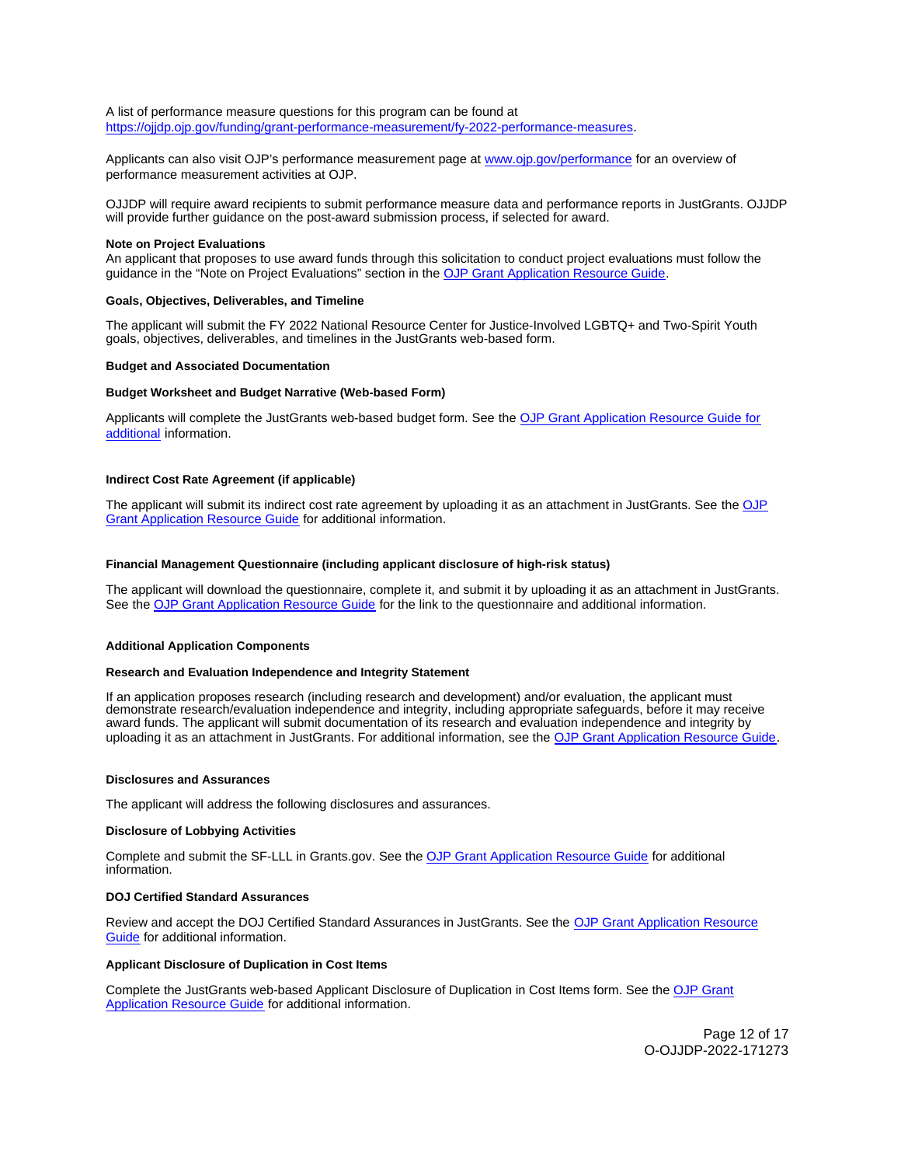#### <span id="page-11-0"></span>A list of performance measure questions for this program can be found at [https://ojjdp.ojp.gov/funding/grant-performance-measurement/fy-2022-performance-measures.](https://ojjdp.ojp.gov/funding/grant-performance-measurement/fy-2021-performance-measures)

Applicants can also visit OJP's performance measurement page at [www.ojp.gov/performance](https://www.ojp.gov/performance) for an overview of performance measurement activities at OJP.

OJJDP will require award recipients to submit performance measure data and performance reports in JustGrants. OJJDP will provide further guidance on the post-award submission process, if selected for award.

#### **Note on Project Evaluations**

An applicant that proposes to use award funds through this solicitation to conduct project evaluations must follow the guidance in the "Note on Project Evaluations" section in the [OJP Grant Application Resource Guide.](https://www.ojp.gov/funding/apply/ojp-grant-application-resource-guide#project-evaluations)

#### **Goals, Objectives, Deliverables, and Timeline**

The applicant will submit the FY 2022 National Resource Center for Justice-Involved LGBTQ+ and Two-Spirit Youth goals, objectives, deliverables, and timelines in the JustGrants web-based form.

#### **Budget and Associated Documentation**

#### **Budget Worksheet and Budget Narrative (Web-based Form)**

Applicants will complete the JustGrants web-based budget form. See the [OJP Grant Application Resource Guide](https://ojp.gov/funding/Apply/Resources/Grant-App-Resource-Guide.htm) for additional information.

#### **Indirect Cost Rate Agreement (if applicable)**

The applicant will submit its indirect cost rate agreement by uploading it as an attachment in JustGrants. See the OJP [Grant Application Resource Guide](https://www.ojp.gov/funding/apply/ojp-grant-application-resource-guide#indirect-cost) for additional information.

#### **Financial Management Questionnaire (including applicant disclosure of high-risk status)**

The applicant will download the questionnaire, complete it, and submit it by uploading it as an attachment in JustGrants. See the [OJP Grant Application Resource Guide](https://www.ojp.gov/funding/apply/ojp-grant-application-resource-guide#fm-internal-controls-questionnaire) for the link to the questionnaire and additional information.

#### **Additional Application Components**

## **Research and Evaluation Independence and Integrity Statement**

If an application proposes research (including research and development) and/or evaluation, the applicant must demonstrate research/evaluation independence and integrity, including appropriate safeguards, before it may receive award funds. The applicant will submit documentation of its research and evaluation independence and integrity by uploading it as an attachment in JustGrants. For additional information, see the [OJP Grant Application Resource Guide.](https://www.ojp.gov/funding/apply/ojp-grant-application-resource-guide#research-evaluation)

#### **Disclosures and Assurances**

The applicant will address the following disclosures and assurances.

#### **Disclosure of Lobbying Activities**

Complete and submit the SF-LLL in [Grants.gov.](https://Grants.gov) See the [OJP Grant Application Resource Guide](https://www.ojp.gov/funding/apply/ojp-grant-application-resource-guide#disclosure-lobby) for additional information.

#### **DOJ Certified Standard Assurances**

Review and accept the DOJ Certified Standard Assurances in JustGrants. See the OJP Grant Application Resource [Guide](https://www.ojp.gov/funding/apply/ojp-grant-application-resource-guide#administrative) for additional information.

#### **Applicant Disclosure of Duplication in Cost Items**

Complete the JustGrants web-based Applicant Disclosure of Duplication in Cost Items form. See the [OJP Grant](https://www.ojp.gov/funding/apply/ojp-grant-application-resource-guide#applicant-disclosure-pending-applications)  [Application Resource Guide](https://www.ojp.gov/funding/apply/ojp-grant-application-resource-guide#applicant-disclosure-pending-applications) for additional information.

> Page 12 of 17 O-OJJDP-2022-171273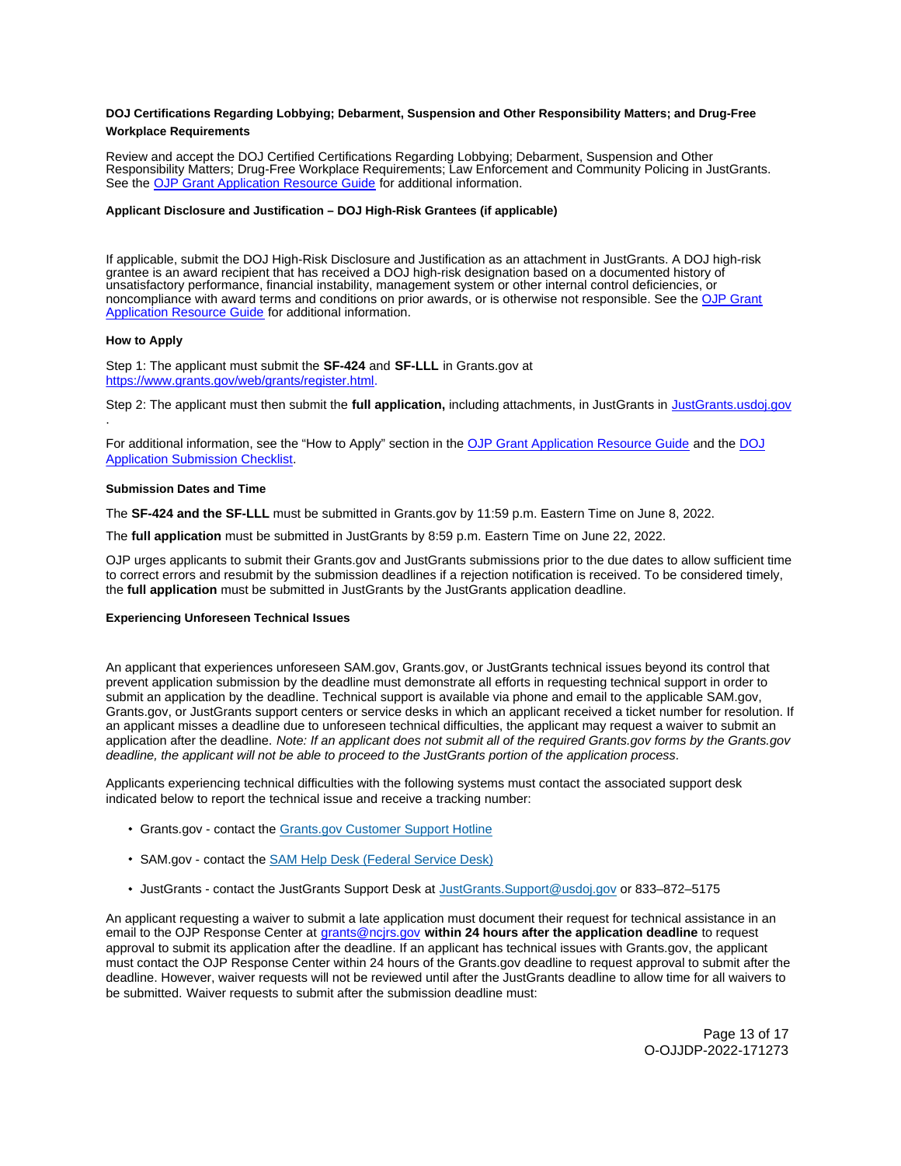## <span id="page-12-0"></span>**DOJ Certifications Regarding Lobbying; Debarment, Suspension and Other Responsibility Matters; and Drug-Free Workplace Requirements**

Review and accept the DOJ Certified Certifications Regarding Lobbying; Debarment, Suspension and Other Responsibility Matters; Drug-Free Workplace Requirements; Law Enforcement and Community Policing in JustGrants. See the [OJP Grant Application Resource Guide](https://www.ojp.gov/funding/apply/ojp-grant-application-resource-guide#administrative) for additional information.

## **Applicant Disclosure and Justification – DOJ High-Risk Grantees (if applicable)**

If applicable, submit the DOJ High-Risk Disclosure and Justification as an attachment in JustGrants. A DOJ high-risk grantee is an award recipient that has received a DOJ high-risk designation based on a documented history of unsatisfactory performance, financial instability, management system or other internal control deficiencies, or noncompliance with award terms and conditions on prior awards, or is otherwise not responsible. See the [OJP Grant](https://www.ojp.gov/funding/apply/ojp-grant-application-resource-guide#applicant-disclosure-justification)  [Application Resource Guide](https://www.ojp.gov/funding/apply/ojp-grant-application-resource-guide#applicant-disclosure-justification) for additional information.

#### **How to Apply**

.

Step 1: The applicant must submit the **SF-424** and **SF-LLL** in [Grants.gov](https://Grants.gov) at [https://www.grants.gov/web/grants/register.html.](https://www.grants.gov/web/grants/register.html)

Step 2: The applicant must then submit the **full application,** including attachments, in JustGrants in [JustGrants.usdoj.gov](https://justicegrants.usdoj.gov/) 

For additional information, see the "How to Apply" section in the [OJP Grant Application Resource Guide](https://www.ojp.gov/funding/apply/ojp-grant-application-resource-guide#apply) and the [DOJ](https://justicegrants.usdoj.gov/sites/g/files/xyckuh296/files/media/document/appln-submission-checklist.pdf)  [Application Submission Checklist.](https://justicegrants.usdoj.gov/sites/g/files/xyckuh296/files/media/document/appln-submission-checklist.pdf)

#### **Submission Dates and Time**

The **SF-424 and the SF-LLL** must be submitted in [Grants.gov](https://Grants.gov) by 11:59 p.m. Eastern Time on June 8, 2022.

The **full application** must be submitted in JustGrants by 8:59 p.m. Eastern Time on June 22, 2022.

OJP urges applicants to submit their [Grants.gov](https://Grants.gov) and JustGrants submissions prior to the due dates to allow sufficient time to correct errors and resubmit by the submission deadlines if a rejection notification is received. To be considered timely, the **full application** must be submitted in JustGrants by the JustGrants application deadline.

#### **Experiencing Unforeseen Technical Issues**

An applicant that experiences unforeseen SAM.gov, [Grants.gov,](https://Grants.gov) or JustGrants technical issues beyond its control that prevent application submission by the deadline must demonstrate all efforts in requesting technical support in order to submit an application by the deadline. Technical support is available via phone and email to the applicable SAM.gov, [Grants.gov](https://Grants.gov), or JustGrants support centers or service desks in which an applicant received a ticket number for resolution. If an applicant misses a deadline due to unforeseen technical difficulties, the applicant may request a waiver to submit an application after the deadline. Note: If an applicant does not submit all of the required [Grants.gov](https://Grants.gov) forms by the [Grants.gov](https://Grants.gov) deadline, the applicant will not be able to proceed to the JustGrants portion of the application process.

Applicants experiencing technical difficulties with the following systems must contact the associated support desk indicated below to report the technical issue and receive a tracking number:

- [Grants.gov](https://Grants.gov)  contact the Grants.gov Customer Support Hotline
- SAM.gov contact the [SAM Help Desk \(Federal Service Desk\)](https://www.fsd.gov/gsafsd_sp)
- JustGrants contact the JustGrants Support Desk at [JustGrants.Support@usdoj.gov](mailto:JustGrants.Support@usdoj.gov) or 833–872–5175

An applicant requesting a waiver to submit a late application must document their request for technical assistance in an email to the OJP Response Center at [grants@ncjrs.gov](file:///C:/Users/local_Yehj/INetCache/Content.Outlook/20U4XBR7/grants@ncjrs.gov) **within 24 hours after the application deadline** to request approval to submit its application after the deadline. If an applicant has technical issues with [Grants.gov,](https://Grants.gov) the applicant must contact the OJP Response Center within 24 hours of the [Grants.gov](https://Grants.gov) deadline to request approval to submit after the deadline. However, waiver requests will not be reviewed until after the JustGrants deadline to allow time for all waivers to be submitted. Waiver requests to submit after the submission deadline must: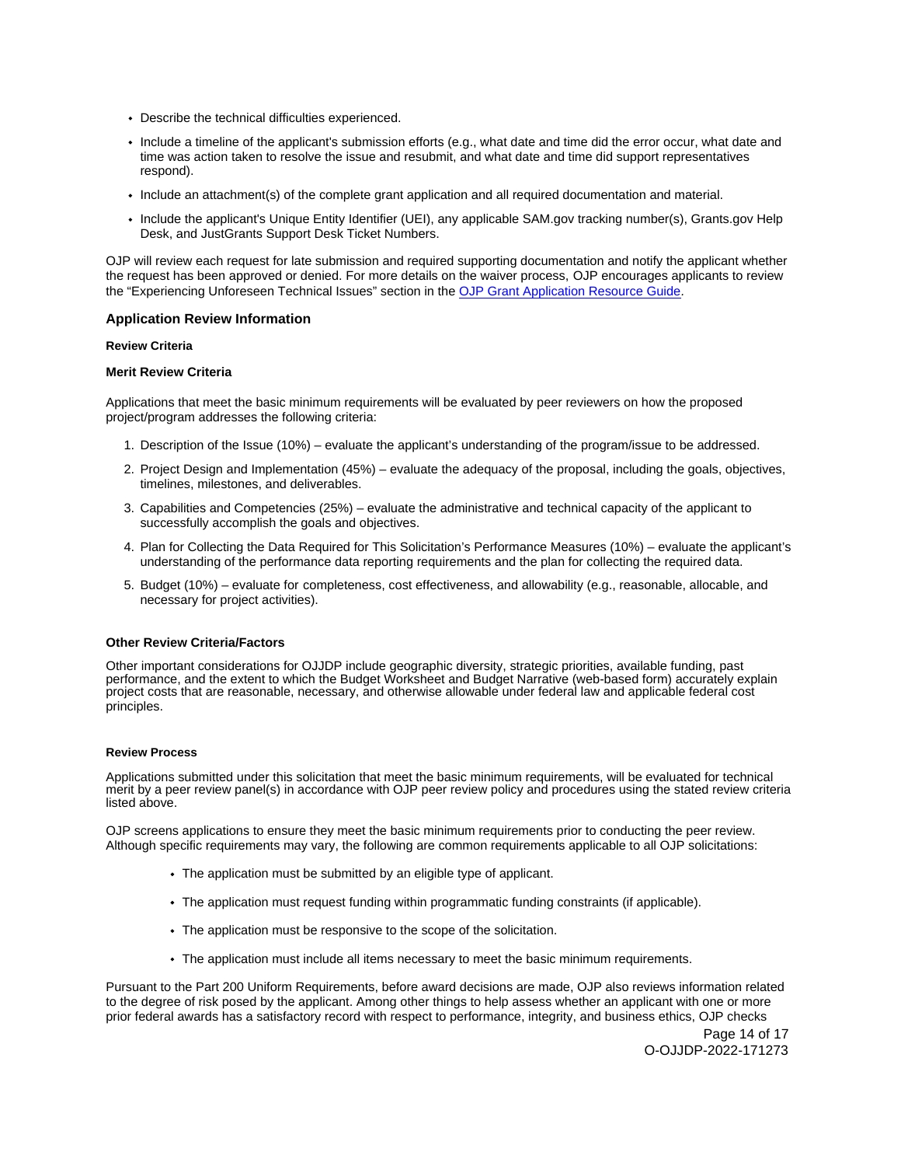- <span id="page-13-0"></span>Describe the technical difficulties experienced.
- Include a timeline of the applicant's submission efforts (e.g., what date and time did the error occur, what date and time was action taken to resolve the issue and resubmit, and what date and time did support representatives respond).
- Include an attachment(s) of the complete grant application and all required documentation and material.
- Include the applicant's Unique Entity Identifier (UEI), any applicable SAM.gov tracking number(s), [Grants.gov](https://Grants.gov) Help Desk, and JustGrants Support Desk Ticket Numbers.

OJP will review each request for late submission and required supporting documentation and notify the applicant whether the request has been approved or denied. For more details on the waiver process, OJP encourages applicants to review the "Experiencing Unforeseen Technical Issues" section in the [OJP Grant Application Resource Guide](https://www.ojp.gov/funding/apply/ojp-grant-application-resource-guide#experiencing-unforeseen-technical-issues).

#### **Application Review Information**

#### **Review Criteria**

## **Merit Review Criteria**

Applications that meet the basic minimum requirements will be evaluated by peer reviewers on how the proposed project/program addresses the following criteria:

- 1. Description of the Issue (10%) evaluate the applicant's understanding of the program/issue to be addressed.
- 2. Project Design and Implementation (45%) evaluate the adequacy of the proposal, including the goals, objectives, timelines, milestones, and deliverables.
- 3. Capabilities and Competencies (25%) evaluate the administrative and technical capacity of the applicant to successfully accomplish the goals and objectives.
- 4. Plan for Collecting the Data Required for This Solicitation's Performance Measures (10%) evaluate the applicant's understanding of the performance data reporting requirements and the plan for collecting the required data.
- 5. Budget (10%) evaluate for completeness, cost effectiveness, and allowability (e.g., reasonable, allocable, and necessary for project activities).

#### **Other Review Criteria/Factors**

Other important considerations for OJJDP include geographic diversity, strategic priorities, available funding, past performance, and the extent to which the Budget Worksheet and Budget Narrative (web-based form) accurately explain project costs that are reasonable, necessary, and otherwise allowable under federal law and applicable federal cost principles.

#### **Review Process**

Applications submitted under this solicitation that meet the basic minimum requirements, will be evaluated for technical merit by a peer review panel(s) in accordance with OJP peer review policy and procedures using the stated review criteria listed above.

OJP screens applications to ensure they meet the basic minimum requirements prior to conducting the peer review. Although specific requirements may vary, the following are common requirements applicable to all OJP solicitations:

- The application must be submitted by an eligible type of applicant.
- The application must request funding within programmatic funding constraints (if applicable).
- The application must be responsive to the scope of the solicitation.
- The application must include all items necessary to meet the basic minimum requirements.

Pursuant to the Part 200 Uniform Requirements, before award decisions are made, OJP also reviews information related to the degree of risk posed by the applicant. Among other things to help assess whether an applicant with one or more prior federal awards has a satisfactory record with respect to performance, integrity, and business ethics, OJP checks

> Page 14 of 17 O-OJJDP-2022-171273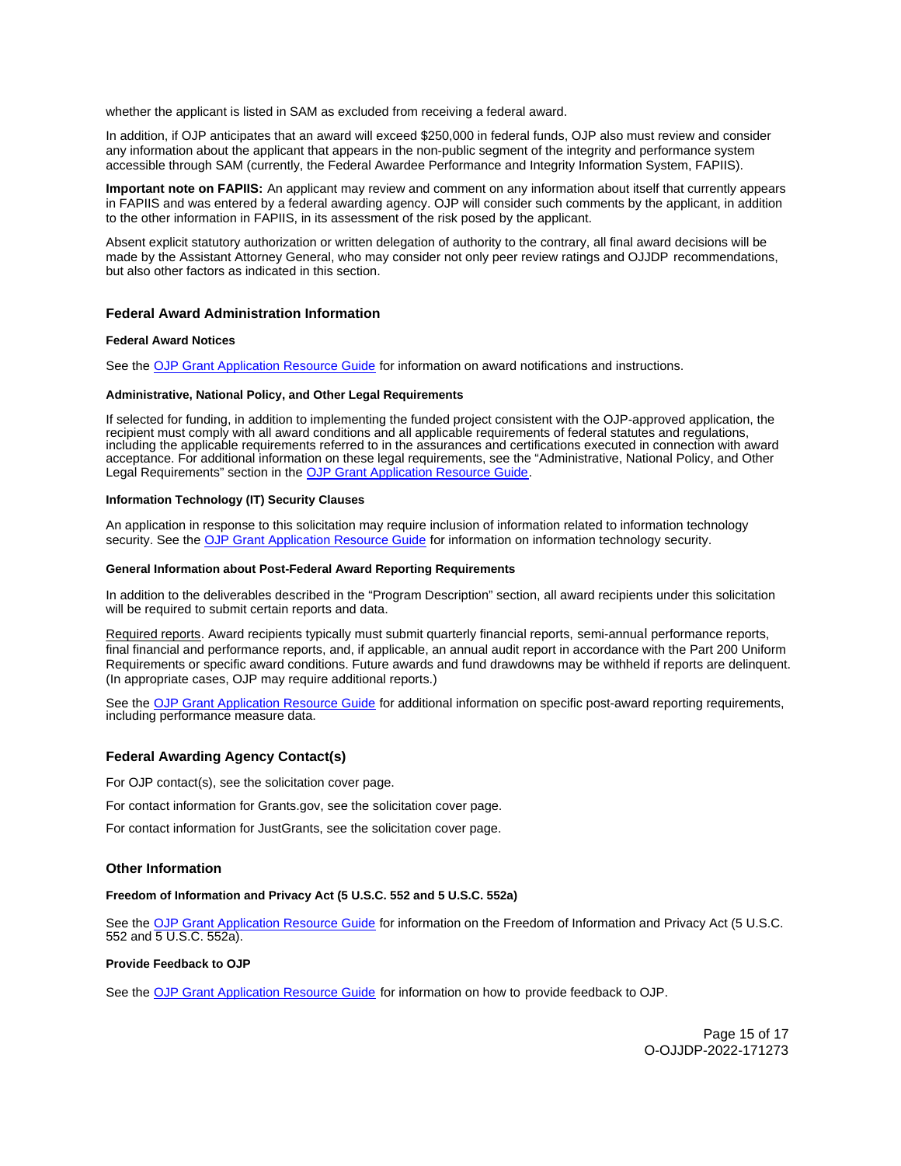<span id="page-14-0"></span>whether the applicant is listed in SAM as excluded from receiving a federal award.

In addition, if OJP anticipates that an award will exceed \$250,000 in federal funds, OJP also must review and consider any information about the applicant that appears in the non-public segment of the integrity and performance system accessible through SAM (currently, the Federal Awardee Performance and Integrity Information System, FAPIIS).

**Important note on FAPIIS:** An applicant may review and comment on any information about itself that currently appears in FAPIIS and was entered by a federal awarding agency. OJP will consider such comments by the applicant, in addition to the other information in FAPIIS, in its assessment of the risk posed by the applicant.

Absent explicit statutory authorization or written delegation of authority to the contrary, all final award decisions will be made by the Assistant Attorney General, who may consider not only peer review ratings and OJJDP recommendations, but also other factors as indicated in this section.

## **Federal Award Administration Information**

#### **Federal Award Notices**

See the [OJP Grant Application Resource Guide](https://www.ojp.gov/funding/apply/ojp-grant-application-resource-guide#federal-award-notices) for information on award notifications and instructions.

#### **Administrative, National Policy, and Other Legal Requirements**

If selected for funding, in addition to implementing the funded project consistent with the OJP-approved application, the recipient must comply with all award conditions and all applicable requirements of federal statutes and regulations, including the applicable requirements referred to in the assurances and certifications executed in connection with award acceptance. For additional information on these legal requirements, see the "Administrative, National Policy, and Other Legal Requirements" section in the [OJP Grant Application Resource Guide.](https://www.ojp.gov/funding/apply/ojp-grant-application-resource-guide#administrative)

#### **Information Technology (IT) Security Clauses**

An application in response to this solicitation may require inclusion of information related to information technology security. See the [OJP Grant Application Resource Guide](https://www.ojp.gov/funding/apply/ojp-grant-application-resource-guide#information-technology) for information on information technology security.

#### **General Information about Post-Federal Award Reporting Requirements**

In addition to the deliverables described in the "Program Description" section, all award recipients under this solicitation will be required to submit certain reports and data.

Required reports. Award recipients typically must submit quarterly financial reports, semi-annual performance reports, final financial and performance reports, and, if applicable, an annual audit report in accordance with the Part 200 Uniform Requirements or specific award conditions. Future awards and fund drawdowns may be withheld if reports are delinquent. (In appropriate cases, OJP may require additional reports.)

See the [OJP Grant Application Resource Guide](https://www.ojp.gov/funding/apply/ojp-grant-application-resource-guide#general-information) for additional information on specific post-award reporting requirements, including performance measure data.

## **Federal Awarding Agency Contact(s)**

For OJP contact(s), see the solicitation cover page.

For contact information for [Grants.gov,](https://Grants.gov) see the solicitation cover page.

For contact information for JustGrants, see the solicitation cover page.

## **Other Information**

#### **Freedom of Information and Privacy Act (5 U.S.C. 552 and 5 U.S.C. 552a)**

See the [OJP Grant Application Resource Guide](https://www.ojp.gov/funding/apply/ojp-grant-application-resource-guide#foia) for information on the Freedom of Information and Privacy Act (5 U.S.C. 552 and 5 U.S.C. 552a).

## **Provide Feedback to OJP**

See the [OJP Grant Application Resource Guide](https://www.ojp.gov/funding/apply/ojp-grant-application-resource-guide#feedback) for information on how to provide feedback to OJP.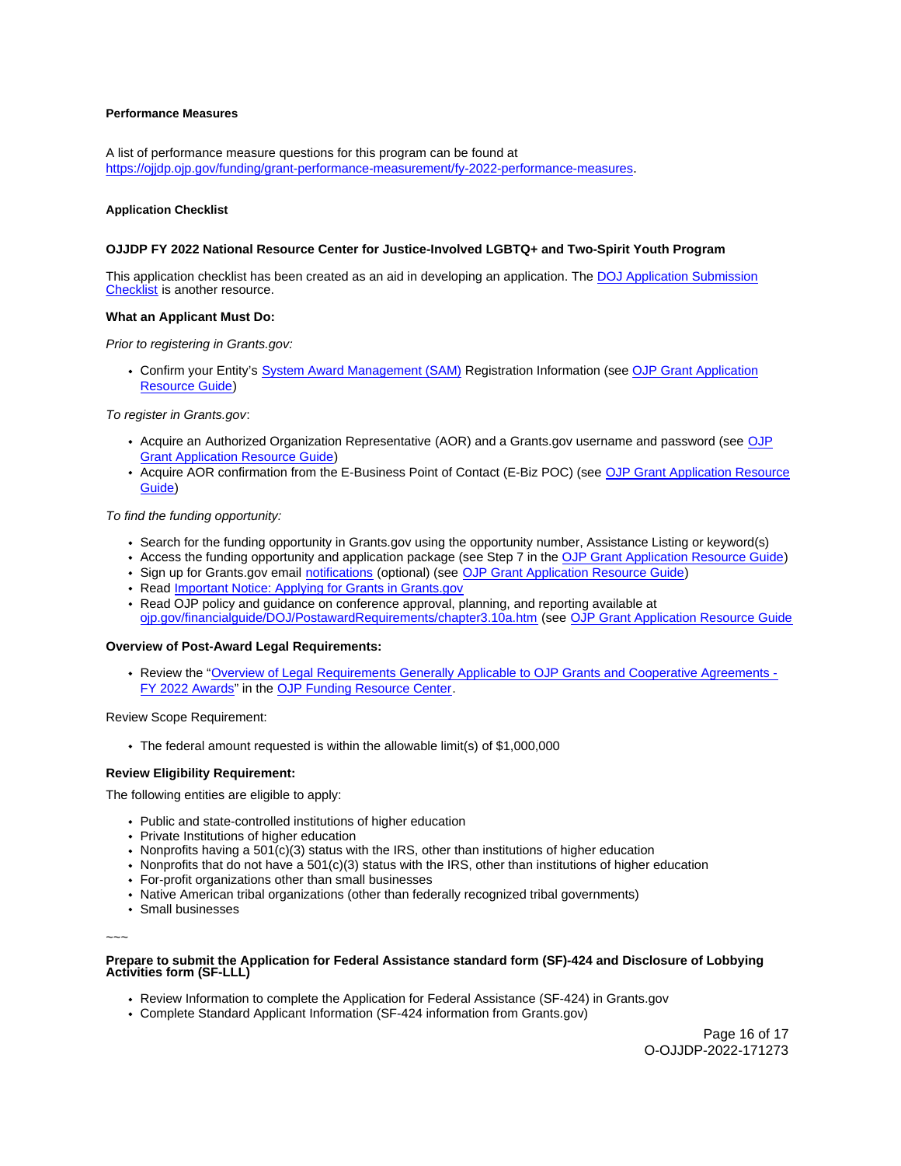## <span id="page-15-0"></span>**Performance Measures**

A list of performance measure questions for this program can be found at [https://ojjdp.ojp.gov/funding/grant-performance-measurement/fy-2022-performance-measures.](https://ojjdp.ojp.gov/funding/grant-performance-measurement/fy-2022-performance-measures)

#### **Application Checklist**

#### **OJJDP FY 2022 National Resource Center for Justice-Involved LGBTQ+ and Two-Spirit Youth Program**

This application checklist has been created as an aid in developing an application. The [DOJ Application Submission](https://justicegrants.usdoj.gov/sites/g/files/xyckuh296/files/media/document/appln-submission-checklist.pdf)  [Checklist](https://justicegrants.usdoj.gov/sites/g/files/xyckuh296/files/media/document/appln-submission-checklist.pdf) is another resource.

#### **What an Applicant Must Do:**

Prior to registering in [Grants.gov:](https://Grants.gov)

• Confirm your Entity's [System Award Management \(SAM\)](https://sam.gov/SAM/) Registration Information (see OJP Grant Application [Resource Guide\)](https://www.ojp.gov/funding/apply/ojp-grant-application-resource-guide#apply)

To register in [Grants.gov](https://Grants.gov):

- Acquire an Authorized Organization Representative (AOR) and a [Grants.gov](https://Grants.gov) username and password (see [OJP](https://www.ojp.gov/funding/apply/ojp-grant-application-resource-guide#apply)  [Grant Application Resource Guide\)](https://www.ojp.gov/funding/apply/ojp-grant-application-resource-guide#apply)
- Acquire AOR confirmation from the E-Business Point of Contact (E-Biz POC) (see [OJP Grant Application Resource](https://www.ojp.gov/funding/apply/ojp-grant-application-resource-guide#apply)  [Guide\)](https://www.ojp.gov/funding/apply/ojp-grant-application-resource-guide#apply)

To find the funding opportunity:

- Search for the funding opportunity in [Grants.gov](https://Grants.gov) using the opportunity number, Assistance Listing or keyword(s)
- Access the funding opportunity and application package (see Step 7 in the [OJP Grant Application Resource Guide\)](https://www.ojp.gov/funding/apply/ojp-grant-application-resource-guide#apply)
- Sign up for [Grants.gov](https://Grants.gov) email [notifications](https://www.grants.gov/web/grants/manage-subscriptions.html) (optional) (see [OJP Grant Application Resource Guide\)](https://www.ojp.gov/funding/apply/ojp-grant-application-resource-guide#apply)
- Read Important Notice: Applying for Grants in Grants.gov
- Read OJP policy and guidance on conference approval, planning, and reporting available at [ojp.gov/financialguide/DOJ/PostawardRequirements/chapter3.10a.htm](https://ojp.gov/financialguide/DOJ/PostawardRequirements/chapter3.10a.htm) (see [OJP Grant Application Resource Guide](https://www.ojp.gov/funding/apply/ojp-grant-application-resource-guide#prior-approval)

#### **Overview of Post-Award Legal Requirements:**

Review the "[Overview of Legal Requirements Generally Applicable to OJP Grants and Cooperative Agreements -](https://www.ojp.gov/funding/explore/legal-overview-awards) [FY 2022 Awards"](https://www.ojp.gov/funding/explore/legal-overview-awards) in the [OJP Funding Resource Center.](https://www.ojp.gov/funding/explore/legal-overview-awards)

Review Scope Requirement:

The federal amount requested is within the allowable limit(s) of \$1,000,000

## **Review Eligibility Requirement:**

The following entities are eligible to apply:

- Public and state-controlled institutions of higher education
- Private Institutions of higher education
- Nonprofits having a 501(c)(3) status with the IRS, other than institutions of higher education
- Nonprofits that do not have a 501(c)(3) status with the IRS, other than institutions of higher education
- For-profit organizations other than small businesses
- Native American tribal organizations (other than federally recognized tribal governments)
- Small businesses

~~~

## **Prepare to submit the Application for Federal Assistance standard form (SF)-424 and Disclosure of Lobbying Activities form (SF-LLL)**

- Review Information to complete the Application for Federal Assistance (SF-424) in [Grants.gov](https://Grants.gov)
- Complete Standard Applicant Information (SF-424 information from [Grants.gov\)](https://Grants.gov)

Page 16 of 17 O-OJJDP-2022-171273